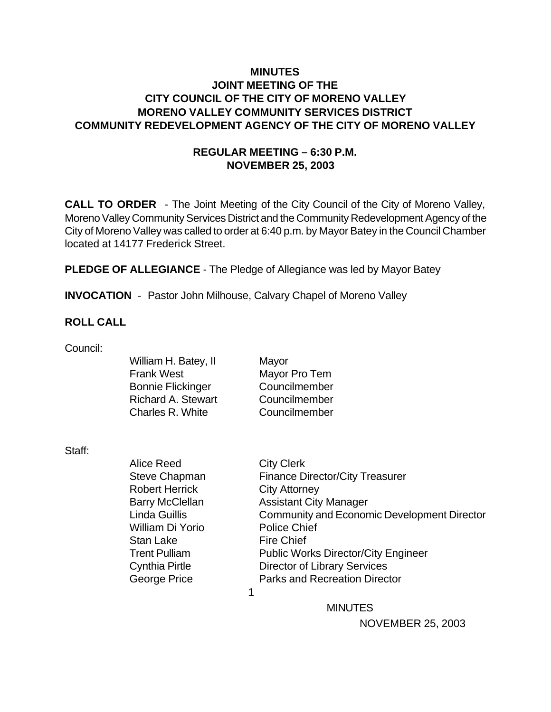# **MINUTES JOINT MEETING OF THE CITY COUNCIL OF THE CITY OF MORENO VALLEY MORENO VALLEY COMMUNITY SERVICES DISTRICT COMMUNITY REDEVELOPMENT AGENCY OF THE CITY OF MORENO VALLEY**

# **REGULAR MEETING – 6:30 P.M. NOVEMBER 25, 2003**

**CALL TO ORDER** - The Joint Meeting of the City Council of the City of Moreno Valley, Moreno Valley Community Services District and the Community Redevelopment Agency of the City of Moreno Valley was called to order at 6:40 p.m. by Mayor Batey in the Council Chamber located at 14177 Frederick Street.

**PLEDGE OF ALLEGIANCE** - The Pledge of Allegiance was led by Mayor Batey

**INVOCATION** - Pastor John Milhouse, Calvary Chapel of Moreno Valley

### **ROLL CALL**

Council:

William H. Batey, II Mayor Frank West Mayor Pro Tem Bonnie Flickinger Councilmember Richard A. Stewart Councilmember Charles R. White Councilmember

Staff:

Alice Reed City Clerk Robert Herrick City Attorney William Di Yorio Police Chief Stan Lake Fire Chief

Steve Chapman Finance Director/City Treasurer Barry McClellan Assistant City Manager Linda Guillis Community and Economic Development Director Trent Pulliam Public Works Director/City Engineer Cynthia Pirtle Director of Library Services George Price **Parks and Recreation Director** 

 $\sim$  1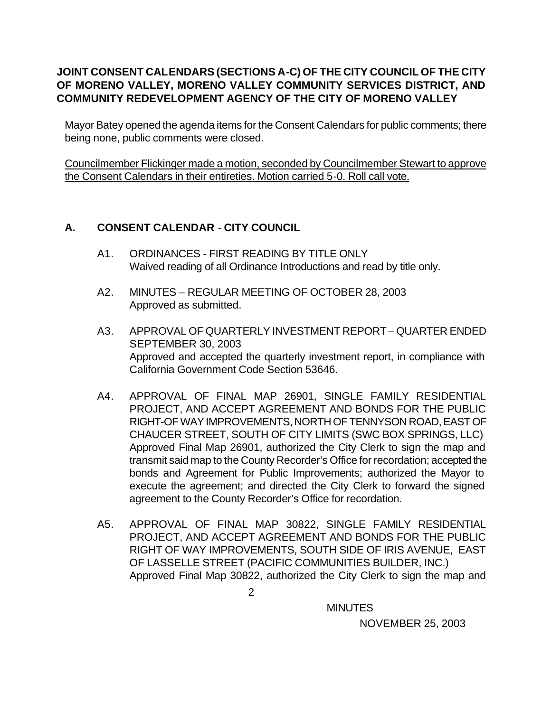# **JOINT CONSENT CALENDARS (SECTIONS A-C) OF THE CITY COUNCIL OF THE CITY OF MORENO VALLEY, MORENO VALLEY COMMUNITY SERVICES DISTRICT, AND COMMUNITY REDEVELOPMENT AGENCY OF THE CITY OF MORENO VALLEY**

Mayor Batey opened the agenda items for the Consent Calendars for public comments; there being none, public comments were closed.

Councilmember Flickinger made a motion, seconded by Councilmember Stewart to approve the Consent Calendars in their entireties. Motion carried 5-0. Roll call vote.

# **A. CONSENT CALENDAR** - **CITY COUNCIL**

- A1. ORDINANCES FIRST READING BY TITLE ONLY Waived reading of all Ordinance Introductions and read by title only.
- A2. MINUTES REGULAR MEETING OF OCTOBER 28, 2003 Approved as submitted.
- A3. APPROVAL OF QUARTERLY INVESTMENT REPORT QUARTER ENDED SEPTEMBER 30, 2003 Approved and accepted the quarterly investment report, in compliance with California Government Code Section 53646.
- A4. APPROVAL OF FINAL MAP 26901, SINGLE FAMILY RESIDENTIAL PROJECT, AND ACCEPT AGREEMENT AND BONDS FOR THE PUBLIC RIGHT-OF WAY IMPROVEMENTS, NORTH OF TENNYSON ROAD, EAST OF CHAUCER STREET, SOUTH OF CITY LIMITS (SWC BOX SPRINGS, LLC) Approved Final Map 26901, authorized the City Clerk to sign the map and transmit said map to the County Recorder's Office for recordation; accepted the bonds and Agreement for Public Improvements; authorized the Mayor to execute the agreement; and directed the City Clerk to forward the signed agreement to the County Recorder's Office for recordation.
- A5. APPROVAL OF FINAL MAP 30822, SINGLE FAMILY RESIDENTIAL PROJECT, AND ACCEPT AGREEMENT AND BONDS FOR THE PUBLIC RIGHT OF WAY IMPROVEMENTS, SOUTH SIDE OF IRIS AVENUE, EAST OF LASSELLE STREET (PACIFIC COMMUNITIES BUILDER, INC.) Approved Final Map 30822, authorized the City Clerk to sign the map and

2

**MINUTES**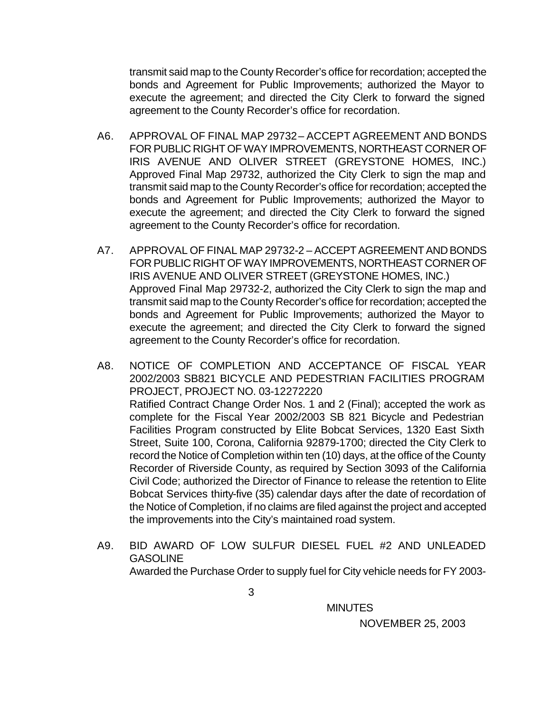transmit said map to the County Recorder's office for recordation; accepted the bonds and Agreement for Public Improvements; authorized the Mayor to execute the agreement; and directed the City Clerk to forward the signed agreement to the County Recorder's office for recordation.

- A6. APPROVAL OF FINAL MAP 29732 ACCEPT AGREEMENT AND BONDS FOR PUBLIC RIGHT OF WAY IMPROVEMENTS, NORTHEAST CORNER OF IRIS AVENUE AND OLIVER STREET (GREYSTONE HOMES, INC.) Approved Final Map 29732, authorized the City Clerk to sign the map and transmit said map to the County Recorder's office for recordation; accepted the bonds and Agreement for Public Improvements; authorized the Mayor to execute the agreement; and directed the City Clerk to forward the signed agreement to the County Recorder's office for recordation.
- A7. APPROVAL OF FINAL MAP 29732-2 ACCEPT AGREEMENT AND BONDS FOR PUBLIC RIGHT OF WAY IMPROVEMENTS, NORTHEAST CORNER OF IRIS AVENUE AND OLIVER STREET (GREYSTONE HOMES, INC.) Approved Final Map 29732-2, authorized the City Clerk to sign the map and transmit said map to the County Recorder's office for recordation; accepted the bonds and Agreement for Public Improvements; authorized the Mayor to execute the agreement; and directed the City Clerk to forward the signed agreement to the County Recorder's office for recordation.
- A8. NOTICE OF COMPLETION AND ACCEPTANCE OF FISCAL YEAR 2002/2003 SB821 BICYCLE AND PEDESTRIAN FACILITIES PROGRAM PROJECT, PROJECT NO. 03-12272220 Ratified Contract Change Order Nos. 1 and 2 (Final); accepted the work as complete for the Fiscal Year 2002/2003 SB 821 Bicycle and Pedestrian Facilities Program constructed by Elite Bobcat Services, 1320 East Sixth Street, Suite 100, Corona, California 92879-1700; directed the City Clerk to record the Notice of Completion within ten (10) days, at the office of the County Recorder of Riverside County, as required by Section 3093 of the California Civil Code; authorized the Director of Finance to release the retention to Elite Bobcat Services thirty-five (35) calendar days after the date of recordation of the Notice of Completion, if no claims are filed against the project and accepted the improvements into the City's maintained road system.
- A9. BID AWARD OF LOW SULFUR DIESEL FUEL #2 AND UNLEADED **GASOLINE** Awarded the Purchase Order to supply fuel for City vehicle needs for FY 2003-

**MINUTES**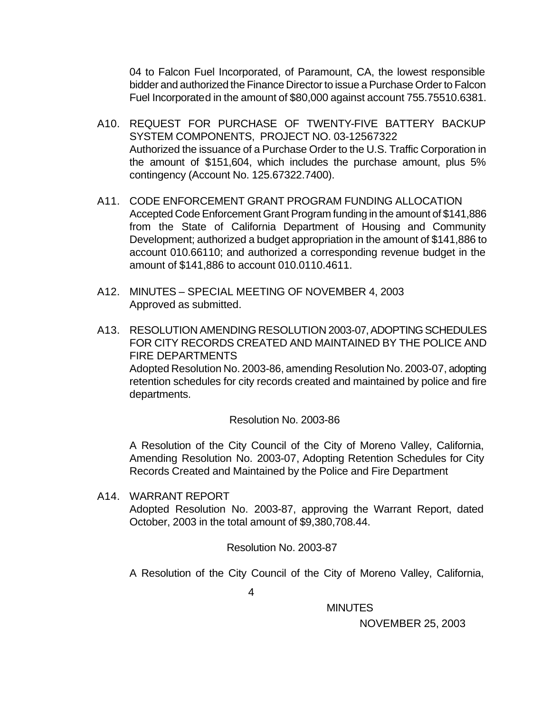04 to Falcon Fuel Incorporated, of Paramount, CA, the lowest responsible bidder and authorized the Finance Director to issue a Purchase Order to Falcon Fuel Incorporated in the amount of \$80,000 against account 755.75510.6381.

- A10. REQUEST FOR PURCHASE OF TWENTY-FIVE BATTERY BACKUP SYSTEM COMPONENTS, PROJECT NO. 03-12567322 Authorized the issuance of a Purchase Order to the U.S. Traffic Corporation in the amount of \$151,604, which includes the purchase amount, plus 5% contingency (Account No. 125.67322.7400).
- A11. CODE ENFORCEMENT GRANT PROGRAM FUNDING ALLOCATION Accepted Code Enforcement Grant Program funding in the amount of \$141,886 from the State of California Department of Housing and Community Development; authorized a budget appropriation in the amount of \$141,886 to account 010.66110; and authorized a corresponding revenue budget in the amount of \$141,886 to account 010.0110.4611.
- A12. MINUTES SPECIAL MEETING OF NOVEMBER 4, 2003 Approved as submitted.
- A13. RESOLUTION AMENDING RESOLUTION 2003-07, ADOPTING SCHEDULES FOR CITY RECORDS CREATED AND MAINTAINED BY THE POLICE AND FIRE DEPARTMENTS

Adopted Resolution No. 2003-86, amending Resolution No. 2003-07, adopting retention schedules for city records created and maintained by police and fire departments.

### Resolution No. 2003-86

A Resolution of the City Council of the City of Moreno Valley, California, Amending Resolution No. 2003-07, Adopting Retention Schedules for City Records Created and Maintained by the Police and Fire Department

A14. WARRANT REPORT Adopted Resolution No. 2003-87, approving the Warrant Report, dated October, 2003 in the total amount of \$9,380,708.44.

Resolution No. 2003-87

A Resolution of the City Council of the City of Moreno Valley, California,

4

MINUTES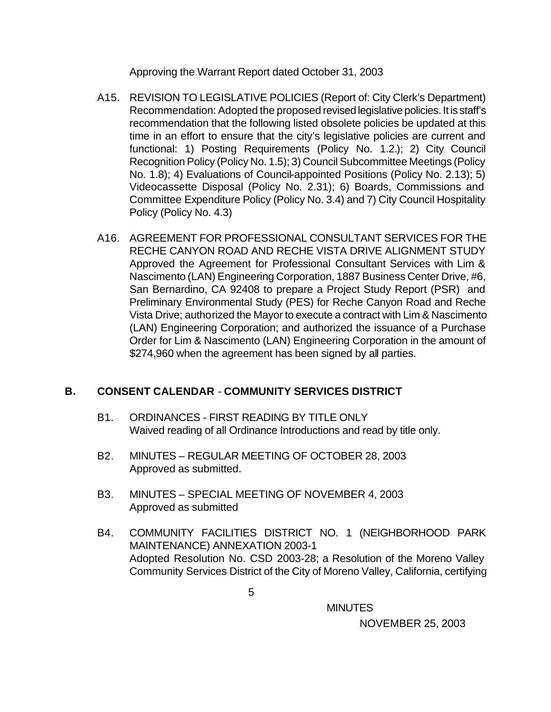Approving the Warrant Report dated October 31, 2003

- A15. REVISION TO LEGISLATIVE POLICIES (Report of: City Clerk's Department) Recommendation: Adopted the proposed revised legislative policies. It is staff's recommendation that the following listed obsolete policies be updated at this time in an effort to ensure that the city's legislative policies are current and functional: 1) Posting Requirements (Policy No. 1.2.); 2) City Council Recognition Policy (Policy No. 1.5); 3) Council Subcommittee Meetings (Policy No. 1.8); 4) Evaluations of Council-appointed Positions (Policy No. 2.13); 5) Videocassette Disposal (Policy No. 2.31); 6) Boards, Commissions and Committee Expenditure Policy (Policy No. 3.4) and 7) City Council Hospitality Policy (Policy No. 4.3)
- A16. AGREEMENT FOR PROFESSIONAL CONSULTANT SERVICES FOR THE RECHE CANYON ROAD AND RECHE VISTA DRIVE ALIGNMENT STUDY Approved the Agreement for Professional Consultant Services with Lim & Nascimento (LAN) Engineering Corporation, 1887 Business Center Drive, #6, San Bernardino, CA 92408 to prepare a Project Study Report (PSR) and Preliminary Environmental Study (PES) for Reche Canyon Road and Reche Vista Drive; authorized the Mayor to execute a contract with Lim & Nascimento (LAN) Engineering Corporation; and authorized the issuance of a Purchase Order for Lim & Nascimento (LAN) Engineering Corporation in the amount of \$274,960 when the agreement has been signed by all parties.

# **B. CONSENT CALENDAR** - **COMMUNITY SERVICES DISTRICT**

- B1. ORDINANCES FIRST READING BY TITLE ONLY Waived reading of all Ordinance Introductions and read by title only.
- B2. MINUTES REGULAR MEETING OF OCTOBER 28, 2003 Approved as submitted.
- B3. MINUTES SPECIAL MEETING OF NOVEMBER 4, 2003 Approved as submitted
- B4. COMMUNITY FACILITIES DISTRICT NO. 1 (NEIGHBORHOOD PARK MAINTENANCE) ANNEXATION 2003-1 Adopted Resolution No. CSD 2003-28; a Resolution of the Moreno Valley Community Services District of the City of Moreno Valley, California, certifying

**MINUTES**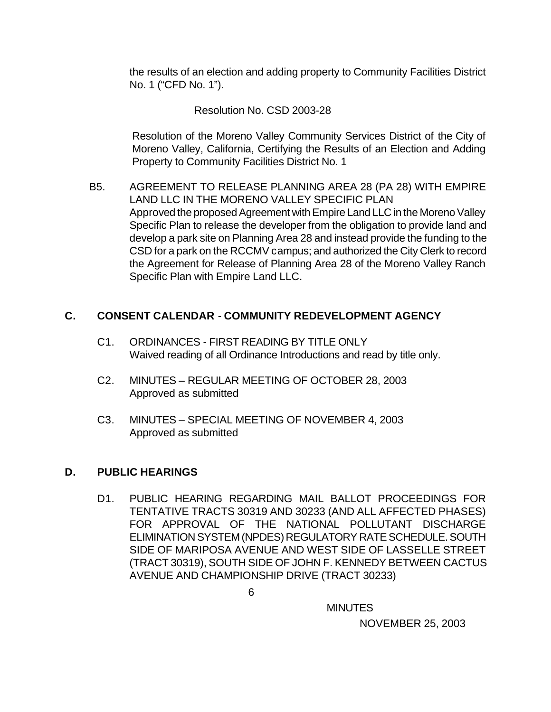the results of an election and adding property to Community Facilities District No. 1 ("CFD No. 1").

### Resolution No. CSD 2003-28

Resolution of the Moreno Valley Community Services District of the City of Moreno Valley, California, Certifying the Results of an Election and Adding Property to Community Facilities District No. 1

B5. AGREEMENT TO RELEASE PLANNING AREA 28 (PA 28) WITH EMPIRE LAND LLC IN THE MORENO VALLEY SPECIFIC PLAN Approved the proposed Agreement with Empire Land LLC in the Moreno Valley Specific Plan to release the developer from the obligation to provide land and develop a park site on Planning Area 28 and instead provide the funding to the CSD for a park on the RCCMV campus; and authorized the City Clerk to record the Agreement for Release of Planning Area 28 of the Moreno Valley Ranch Specific Plan with Empire Land LLC.

# **C. CONSENT CALENDAR** - **COMMUNITY REDEVELOPMENT AGENCY**

- C1. ORDINANCES FIRST READING BY TITLE ONLY Waived reading of all Ordinance Introductions and read by title only.
- C2. MINUTES REGULAR MEETING OF OCTOBER 28, 2003 Approved as submitted
- C3. MINUTES SPECIAL MEETING OF NOVEMBER 4, 2003 Approved as submitted

### **D. PUBLIC HEARINGS**

D1. PUBLIC HEARING REGARDING MAIL BALLOT PROCEEDINGS FOR TENTATIVE TRACTS 30319 AND 30233 (AND ALL AFFECTED PHASES) FOR APPROVAL OF THE NATIONAL POLLUTANT DISCHARGE ELIMINATION SYSTEM (NPDES) REGULATORY RATE SCHEDULE. SOUTH SIDE OF MARIPOSA AVENUE AND WEST SIDE OF LASSELLE STREET (TRACT 30319), SOUTH SIDE OF JOHN F. KENNEDY BETWEEN CACTUS AVENUE AND CHAMPIONSHIP DRIVE (TRACT 30233)

**MINUTES**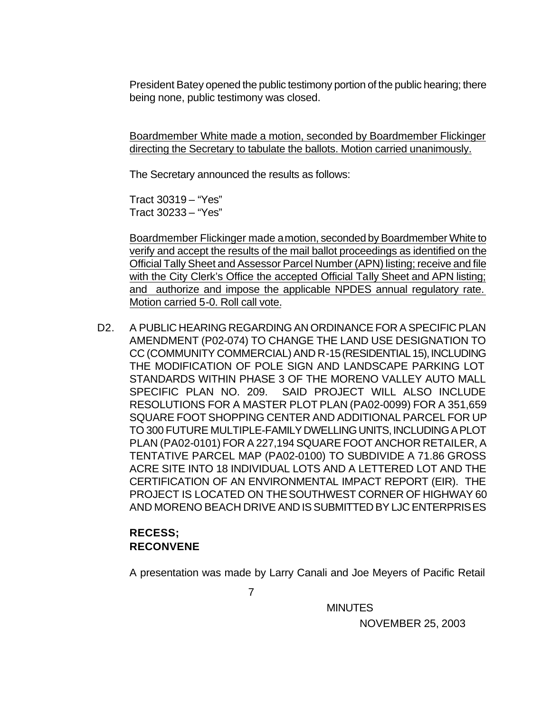President Batey opened the public testimony portion of the public hearing; there being none, public testimony was closed.

Boardmember White made a motion, seconded by Boardmember Flickinger directing the Secretary to tabulate the ballots. Motion carried unanimously.

The Secretary announced the results as follows:

Tract 30319 – "Yes" Tract 30233 – "Yes"

Boardmember Flickinger made a motion, seconded by Boardmember White to verify and accept the results of the mail ballot proceedings as identified on the Official Tally Sheet and Assessor Parcel Number (APN) listing; receive and file with the City Clerk's Office the accepted Official Tally Sheet and APN listing; and authorize and impose the applicable NPDES annual regulatory rate. Motion carried 5-0. Roll call vote.

D2. A PUBLIC HEARING REGARDING AN ORDINANCE FOR A SPECIFIC PLAN AMENDMENT (P02-074) TO CHANGE THE LAND USE DESIGNATION TO CC (COMMUNITY COMMERCIAL) AND R-15 (RESIDENTIAL 15), INCLUDING THE MODIFICATION OF POLE SIGN AND LANDSCAPE PARKING LOT STANDARDS WITHIN PHASE 3 OF THE MORENO VALLEY AUTO MALL SPECIFIC PLAN NO. 209. SAID PROJECT WILL ALSO INCLUDE RESOLUTIONS FOR A MASTER PLOT PLAN (PA02-0099) FOR A 351,659 SQUARE FOOT SHOPPING CENTER AND ADDITIONAL PARCEL FOR UP TO 300 FUTURE MULTIPLE-FAMILY DWELLING UNITS, INCLUDING A PLOT PLAN (PA02-0101) FOR A 227,194 SQUARE FOOT ANCHOR RETAILER, A TENTATIVE PARCEL MAP (PA02-0100) TO SUBDIVIDE A 71.86 GROSS ACRE SITE INTO 18 INDIVIDUAL LOTS AND A LETTERED LOT AND THE CERTIFICATION OF AN ENVIRONMENTAL IMPACT REPORT (EIR). THE PROJECT IS LOCATED ON THE SOUTHWEST CORNER OF HIGHWAY 60 AND MORENO BEACH DRIVE AND IS SUBMITTED BY LJC ENTERPRISES

# **RECESS; RECONVENE**

A presentation was made by Larry Canali and Joe Meyers of Pacific Retail

7

**MINUTES**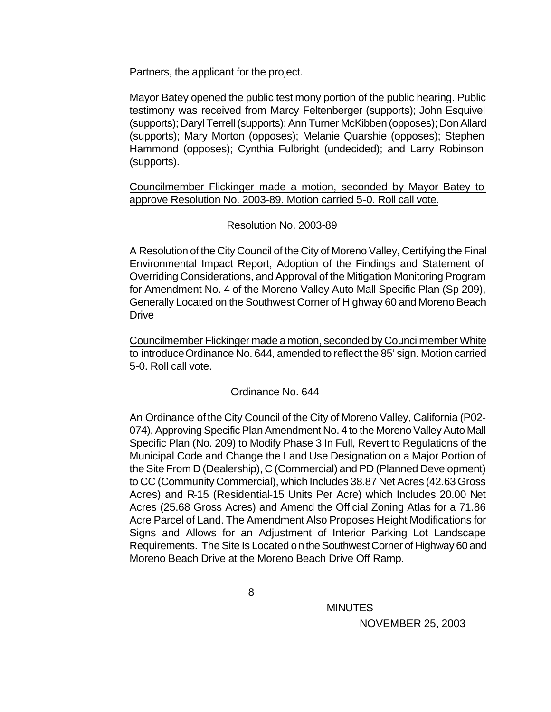Partners, the applicant for the project.

Mayor Batey opened the public testimony portion of the public hearing. Public testimony was received from Marcy Feltenberger (supports); John Esquivel (supports); Daryl Terrell (supports); Ann Turner McKibben (opposes); Don Allard (supports); Mary Morton (opposes); Melanie Quarshie (opposes); Stephen Hammond (opposes); Cynthia Fulbright (undecided); and Larry Robinson (supports).

Councilmember Flickinger made a motion, seconded by Mayor Batey to approve Resolution No. 2003-89. Motion carried 5-0. Roll call vote.

### Resolution No. 2003-89

A Resolution of the City Council of the City of Moreno Valley, Certifying the Final Environmental Impact Report, Adoption of the Findings and Statement of Overriding Considerations, and Approval of the Mitigation Monitoring Program for Amendment No. 4 of the Moreno Valley Auto Mall Specific Plan (Sp 209), Generally Located on the Southwest Corner of Highway 60 and Moreno Beach **Drive** 

Councilmember Flickinger made a motion, seconded by Councilmember White to introduce Ordinance No. 644, amended to reflect the 85' sign. Motion carried 5-0. Roll call vote.

### Ordinance No. 644

An Ordinance of the City Council of the City of Moreno Valley, California (P02- 074), Approving Specific Plan Amendment No. 4 to the Moreno Valley Auto Mall Specific Plan (No. 209) to Modify Phase 3 In Full, Revert to Regulations of the Municipal Code and Change the Land Use Designation on a Major Portion of the Site From D (Dealership), C (Commercial) and PD (Planned Development) to CC (Community Commercial), which Includes 38.87 Net Acres (42.63 Gross Acres) and R-15 (Residential-15 Units Per Acre) which Includes 20.00 Net Acres (25.68 Gross Acres) and Amend the Official Zoning Atlas for a 71.86 Acre Parcel of Land. The Amendment Also Proposes Height Modifications for Signs and Allows for an Adjustment of Interior Parking Lot Landscape Requirements. The Site Is Located on the Southwest Corner of Highway 60 and Moreno Beach Drive at the Moreno Beach Drive Off Ramp.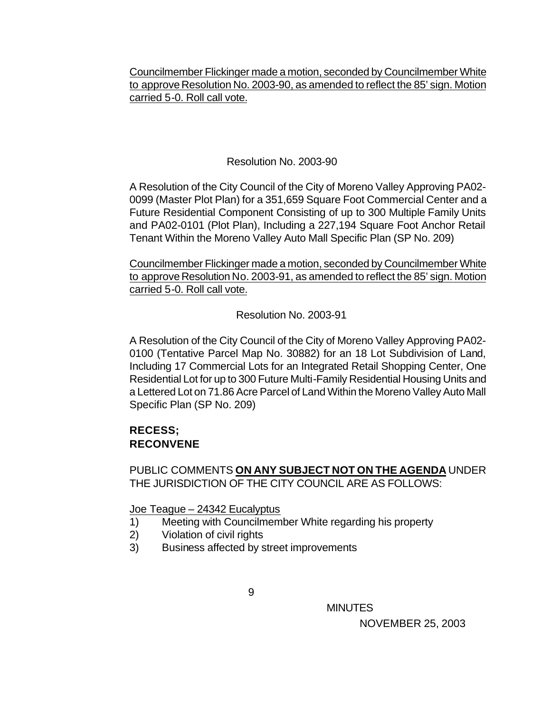Councilmember Flickinger made a motion, seconded by Councilmember White to approve Resolution No. 2003-90, as amended to reflect the 85' sign. Motion carried 5-0. Roll call vote.

### Resolution No. 2003-90

A Resolution of the City Council of the City of Moreno Valley Approving PA02- 0099 (Master Plot Plan) for a 351,659 Square Foot Commercial Center and a Future Residential Component Consisting of up to 300 Multiple Family Units and PA02-0101 (Plot Plan), Including a 227,194 Square Foot Anchor Retail Tenant Within the Moreno Valley Auto Mall Specific Plan (SP No. 209)

Councilmember Flickinger made a motion, seconded by Councilmember White to approve Resolution No. 2003-91, as amended to reflect the 85' sign. Motion carried 5-0. Roll call vote.

Resolution No. 2003-91

A Resolution of the City Council of the City of Moreno Valley Approving PA02- 0100 (Tentative Parcel Map No. 30882) for an 18 Lot Subdivision of Land, Including 17 Commercial Lots for an Integrated Retail Shopping Center, One Residential Lot for up to 300 Future Multi-Family Residential Housing Units and a Lettered Lot on 71.86 Acre Parcel of Land Within the Moreno Valley Auto Mall Specific Plan (SP No. 209)

### **RECESS; RECONVENE**

PUBLIC COMMENTS **ON ANY SUBJECT NOT ON THE AGENDA** UNDER THE JURISDICTION OF THE CITY COUNCIL ARE AS FOLLOWS:

Joe Teague – 24342 Eucalyptus

- 1) Meeting with Councilmember White regarding his property
- 2) Violation of civil rights
- 3) Business affected by street improvements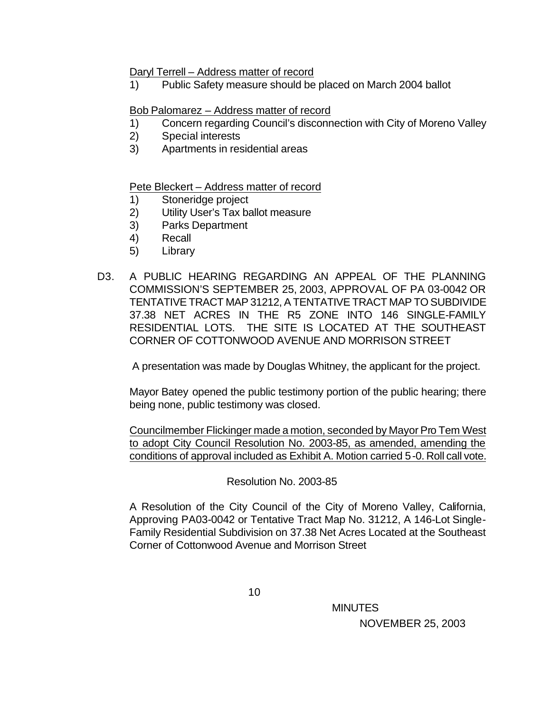#### Daryl Terrell – Address matter of record

1) Public Safety measure should be placed on March 2004 ballot

### Bob Palomarez – Address matter of record

- 1) Concern regarding Council's disconnection with City of Moreno Valley
- 2) Special interests
- 3) Apartments in residential areas

### Pete Bleckert – Address matter of record

- 1) Stoneridge project
- 2) Utility User's Tax ballot measure
- 3) Parks Department
- 4) Recall
- 5) Library
- D3. A PUBLIC HEARING REGARDING AN APPEAL OF THE PLANNING COMMISSION'S SEPTEMBER 25, 2003, APPROVAL OF PA 03-0042 OR TENTATIVE TRACT MAP 31212, A TENTATIVE TRACT MAP TO SUBDIVIDE 37.38 NET ACRES IN THE R5 ZONE INTO 146 SINGLE-FAMILY RESIDENTIAL LOTS. THE SITE IS LOCATED AT THE SOUTHEAST CORNER OF COTTONWOOD AVENUE AND MORRISON STREET

A presentation was made by Douglas Whitney, the applicant for the project.

Mayor Batey opened the public testimony portion of the public hearing; there being none, public testimony was closed.

Councilmember Flickinger made a motion, seconded by Mayor Pro Tem West to adopt City Council Resolution No. 2003-85, as amended, amending the conditions of approval included as Exhibit A. Motion carried 5-0. Roll call vote.

### Resolution No. 2003-85

A Resolution of the City Council of the City of Moreno Valley, California, Approving PA03-0042 or Tentative Tract Map No. 31212, A 146-Lot Single-Family Residential Subdivision on 37.38 Net Acres Located at the Southeast Corner of Cottonwood Avenue and Morrison Street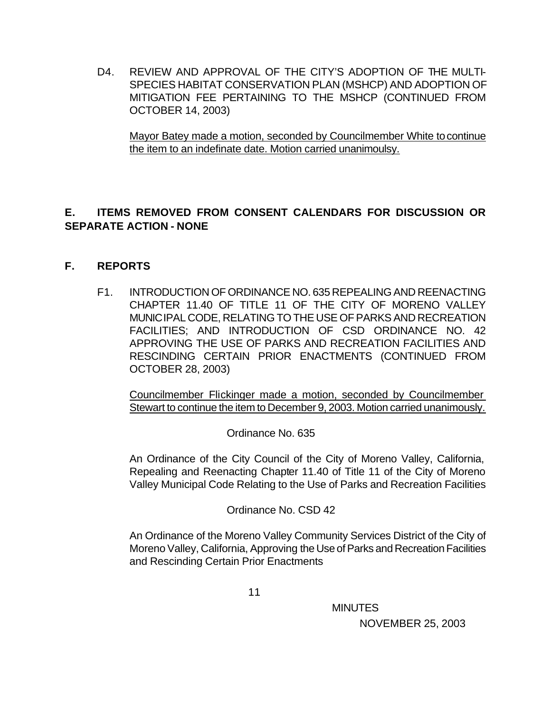D4. REVIEW AND APPROVAL OF THE CITY'S ADOPTION OF THE MULTI-SPECIES HABITAT CONSERVATION PLAN (MSHCP) AND ADOPTION OF MITIGATION FEE PERTAINING TO THE MSHCP (CONTINUED FROM OCTOBER 14, 2003)

Mayor Batey made a motion, seconded by Councilmember White to continue the item to an indefinate date. Motion carried unanimoulsy.

# **E. ITEMS REMOVED FROM CONSENT CALENDARS FOR DISCUSSION OR SEPARATE ACTION - NONE**

# **F. REPORTS**

F1. INTRODUCTION OF ORDINANCE NO. 635 REPEALING AND REENACTING CHAPTER 11.40 OF TITLE 11 OF THE CITY OF MORENO VALLEY MUNICIPAL CODE, RELATING TO THE USE OF PARKS AND RECREATION FACILITIES; AND INTRODUCTION OF CSD ORDINANCE NO. 42 APPROVING THE USE OF PARKS AND RECREATION FACILITIES AND RESCINDING CERTAIN PRIOR ENACTMENTS (CONTINUED FROM OCTOBER 28, 2003)

Councilmember Flickinger made a motion, seconded by Councilmember Stewart to continue the item to December 9, 2003. Motion carried unanimously.

Ordinance No. 635

An Ordinance of the City Council of the City of Moreno Valley, California, Repealing and Reenacting Chapter 11.40 of Title 11 of the City of Moreno Valley Municipal Code Relating to the Use of Parks and Recreation Facilities

Ordinance No. CSD 42

An Ordinance of the Moreno Valley Community Services District of the City of Moreno Valley, California, Approving the Use of Parks and Recreation Facilities and Rescinding Certain Prior Enactments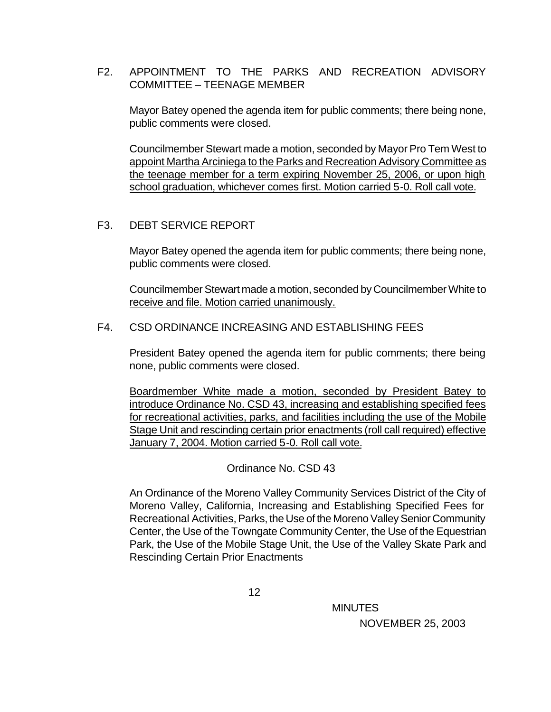### F2. APPOINTMENT TO THE PARKS AND RECREATION ADVISORY COMMITTEE – TEENAGE MEMBER

Mayor Batey opened the agenda item for public comments; there being none, public comments were closed.

Councilmember Stewart made a motion, seconded by Mayor Pro Tem West to appoint Martha Arciniega to the Parks and Recreation Advisory Committee as the teenage member for a term expiring November 25, 2006, or upon high school graduation, whichever comes first. Motion carried 5-0. Roll call vote.

### F3. DEBT SERVICE REPORT

Mayor Batey opened the agenda item for public comments; there being none, public comments were closed.

Councilmember Stewart made a motion, seconded by Councilmember White to receive and file. Motion carried unanimously.

### F4. CSD ORDINANCE INCREASING AND ESTABLISHING FEES

President Batey opened the agenda item for public comments; there being none, public comments were closed.

Boardmember White made a motion, seconded by President Batey to introduce Ordinance No. CSD 43, increasing and establishing specified fees for recreational activities, parks, and facilities including the use of the Mobile Stage Unit and rescinding certain prior enactments (roll call required) effective January 7, 2004. Motion carried 5-0. Roll call vote.

Ordinance No. CSD 43

An Ordinance of the Moreno Valley Community Services District of the City of Moreno Valley, California, Increasing and Establishing Specified Fees for Recreational Activities, Parks, the Use of the Moreno Valley Senior Community Center, the Use of the Towngate Community Center, the Use of the Equestrian Park, the Use of the Mobile Stage Unit, the Use of the Valley Skate Park and Rescinding Certain Prior Enactments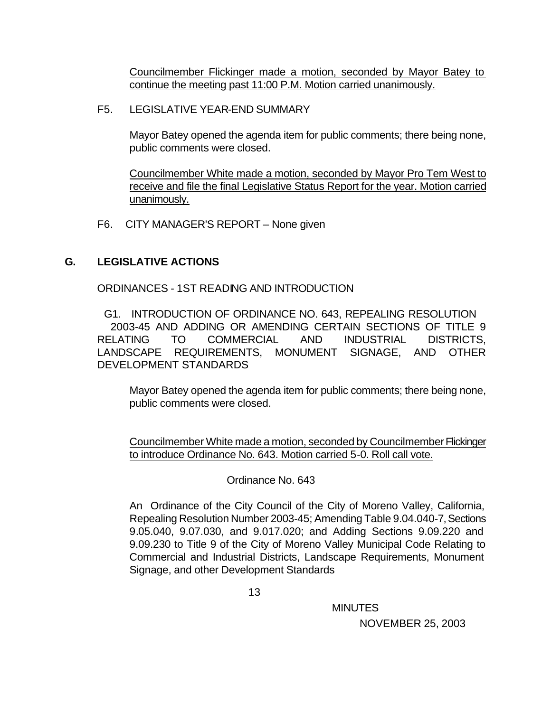Councilmember Flickinger made a motion, seconded by Mayor Batey to continue the meeting past 11:00 P.M. Motion carried unanimously.

### F5. LEGISLATIVE YEAR-END SUMMARY

Mayor Batey opened the agenda item for public comments; there being none, public comments were closed.

Councilmember White made a motion, seconded by Mayor Pro Tem West to receive and file the final Legislative Status Report for the year. Motion carried unanimously.

F6. CITY MANAGER'S REPORT – None given

### **G. LEGISLATIVE ACTIONS**

ORDINANCES - 1ST READING AND INTRODUCTION

 G1. INTRODUCTION OF ORDINANCE NO. 643, REPEALING RESOLUTION 2003-45 AND ADDING OR AMENDING CERTAIN SECTIONS OF TITLE 9 RELATING TO COMMERCIAL AND INDUSTRIAL DISTRICTS, LANDSCAPE REQUIREMENTS, MONUMENT SIGNAGE, AND OTHER DEVELOPMENT STANDARDS

Mayor Batey opened the agenda item for public comments; there being none, public comments were closed.

Councilmember White made a motion, seconded by Councilmember Flickinger to introduce Ordinance No. 643. Motion carried 5-0. Roll call vote.

### Ordinance No. 643

An Ordinance of the City Council of the City of Moreno Valley, California, Repealing Resolution Number 2003-45; Amending Table 9.04.040-7, Sections 9.05.040, 9.07.030, and 9.017.020; and Adding Sections 9.09.220 and 9.09.230 to Title 9 of the City of Moreno Valley Municipal Code Relating to Commercial and Industrial Districts, Landscape Requirements, Monument Signage, and other Development Standards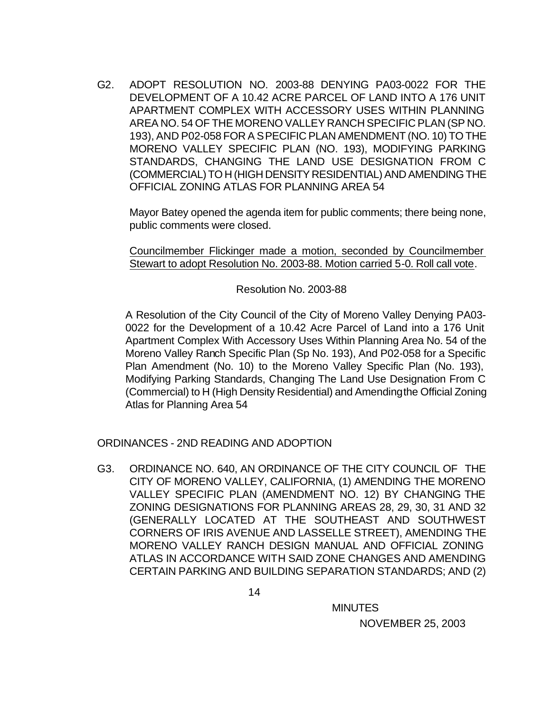G2. ADOPT RESOLUTION NO. 2003-88 DENYING PA03-0022 FOR THE DEVELOPMENT OF A 10.42 ACRE PARCEL OF LAND INTO A 176 UNIT APARTMENT COMPLEX WITH ACCESSORY USES WITHIN PLANNING AREA NO. 54 OF THE MORENO VALLEY RANCH SPECIFIC PLAN (SP NO. 193), AND P02-058 FOR A SPECIFIC PLAN AMENDMENT (NO. 10) TO THE MORENO VALLEY SPECIFIC PLAN (NO. 193), MODIFYING PARKING STANDARDS, CHANGING THE LAND USE DESIGNATION FROM C (COMMERCIAL) TO H (HIGH DENSITY RESIDENTIAL) AND AMENDING THE OFFICIAL ZONING ATLAS FOR PLANNING AREA 54

Mayor Batey opened the agenda item for public comments; there being none, public comments were closed.

Councilmember Flickinger made a motion, seconded by Councilmember Stewart to adopt Resolution No. 2003-88. Motion carried 5-0. Roll call vote.

Resolution No. 2003-88

A Resolution of the City Council of the City of Moreno Valley Denying PA03- 0022 for the Development of a 10.42 Acre Parcel of Land into a 176 Unit Apartment Complex With Accessory Uses Within Planning Area No. 54 of the Moreno Valley Ranch Specific Plan (Sp No. 193), And P02-058 for a Specific Plan Amendment (No. 10) to the Moreno Valley Specific Plan (No. 193), Modifying Parking Standards, Changing The Land Use Designation From C (Commercial) to H (High Density Residential) and Amending the Official Zoning Atlas for Planning Area 54

ORDINANCES - 2ND READING AND ADOPTION

G3. ORDINANCE NO. 640, AN ORDINANCE OF THE CITY COUNCIL OF THE CITY OF MORENO VALLEY, CALIFORNIA, (1) AMENDING THE MORENO VALLEY SPECIFIC PLAN (AMENDMENT NO. 12) BY CHANGING THE ZONING DESIGNATIONS FOR PLANNING AREAS 28, 29, 30, 31 AND 32 (GENERALLY LOCATED AT THE SOUTHEAST AND SOUTHWEST CORNERS OF IRIS AVENUE AND LASSELLE STREET), AMENDING THE MORENO VALLEY RANCH DESIGN MANUAL AND OFFICIAL ZONING ATLAS IN ACCORDANCE WITH SAID ZONE CHANGES AND AMENDING CERTAIN PARKING AND BUILDING SEPARATION STANDARDS; AND (2)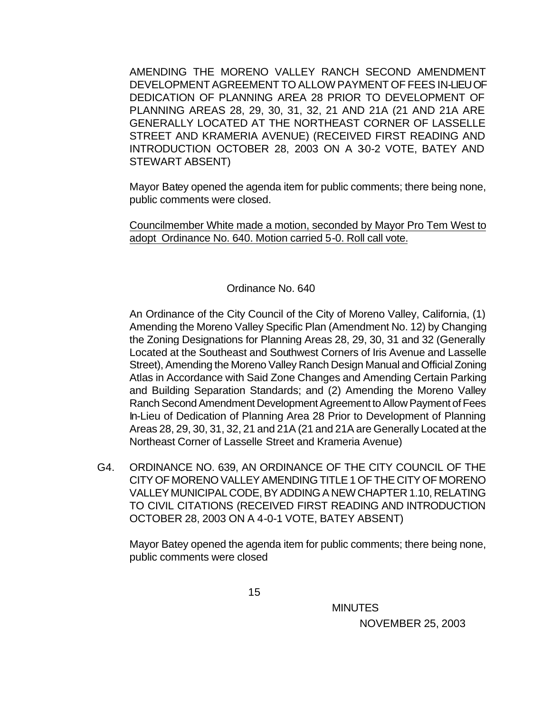AMENDING THE MORENO VALLEY RANCH SECOND AMENDMENT DEVELOPMENT AGREEMENT TO ALLOW PAYMENT OF FEES IN-LIEU OF DEDICATION OF PLANNING AREA 28 PRIOR TO DEVELOPMENT OF PLANNING AREAS 28, 29, 30, 31, 32, 21 AND 21A (21 AND 21A ARE GENERALLY LOCATED AT THE NORTHEAST CORNER OF LASSELLE STREET AND KRAMERIA AVENUE) (RECEIVED FIRST READING AND INTRODUCTION OCTOBER 28, 2003 ON A 30-2 VOTE, BATEY AND STEWART ABSENT)

Mayor Batey opened the agenda item for public comments; there being none, public comments were closed.

Councilmember White made a motion, seconded by Mayor Pro Tem West to adopt Ordinance No. 640. Motion carried 5-0. Roll call vote.

### Ordinance No. 640

An Ordinance of the City Council of the City of Moreno Valley, California, (1) Amending the Moreno Valley Specific Plan (Amendment No. 12) by Changing the Zoning Designations for Planning Areas 28, 29, 30, 31 and 32 (Generally Located at the Southeast and Southwest Corners of Iris Avenue and Lasselle Street), Amending the Moreno Valley Ranch Design Manual and Official Zoning Atlas in Accordance with Said Zone Changes and Amending Certain Parking and Building Separation Standards; and (2) Amending the Moreno Valley Ranch Second Amendment Development Agreement to Allow Payment of Fees In-Lieu of Dedication of Planning Area 28 Prior to Development of Planning Areas 28, 29, 30, 31, 32, 21 and 21A (21 and 21A are Generally Located at the Northeast Corner of Lasselle Street and Krameria Avenue)

G4. ORDINANCE NO. 639, AN ORDINANCE OF THE CITY COUNCIL OF THE CITY OF MORENO VALLEY AMENDING TITLE 1 OF THE CITY OF MORENO VALLEY MUNICIPAL CODE, BY ADDING A NEW CHAPTER 1.10, RELATING TO CIVIL CITATIONS (RECEIVED FIRST READING AND INTRODUCTION OCTOBER 28, 2003 ON A 4-0-1 VOTE, BATEY ABSENT)

Mayor Batey opened the agenda item for public comments; there being none, public comments were closed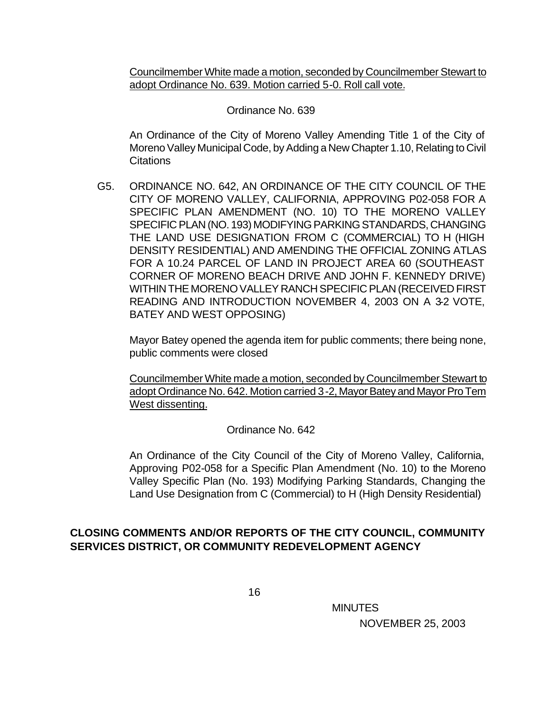Councilmember White made a motion, seconded by Councilmember Stewart to adopt Ordinance No. 639. Motion carried 5-0. Roll call vote.

Ordinance No. 639

An Ordinance of the City of Moreno Valley Amending Title 1 of the City of Moreno Valley Municipal Code, by Adding a New Chapter 1.10, Relating to Civil **Citations** 

G5. ORDINANCE NO. 642, AN ORDINANCE OF THE CITY COUNCIL OF THE CITY OF MORENO VALLEY, CALIFORNIA, APPROVING P02-058 FOR A SPECIFIC PLAN AMENDMENT (NO. 10) TO THE MORENO VALLEY SPECIFIC PLAN (NO. 193) MODIFYING PARKING STANDARDS, CHANGING THE LAND USE DESIGNATION FROM C (COMMERCIAL) TO H (HIGH DENSITY RESIDENTIAL) AND AMENDING THE OFFICIAL ZONING ATLAS FOR A 10.24 PARCEL OF LAND IN PROJECT AREA 60 (SOUTHEAST CORNER OF MORENO BEACH DRIVE AND JOHN F. KENNEDY DRIVE) WITHIN THE MORENO VALLEY RANCH SPECIFIC PLAN (RECEIVED FIRST READING AND INTRODUCTION NOVEMBER 4, 2003 ON A 3-2 VOTE, BATEY AND WEST OPPOSING)

Mayor Batey opened the agenda item for public comments; there being none, public comments were closed

Councilmember White made a motion, seconded by Councilmember Stewart to adopt Ordinance No. 642. Motion carried 3-2, Mayor Batey and Mayor Pro Tem West dissenting.

Ordinance No. 642

An Ordinance of the City Council of the City of Moreno Valley, California, Approving P02-058 for a Specific Plan Amendment (No. 10) to the Moreno Valley Specific Plan (No. 193) Modifying Parking Standards, Changing the Land Use Designation from C (Commercial) to H (High Density Residential)

# **CLOSING COMMENTS AND/OR REPORTS OF THE CITY COUNCIL, COMMUNITY SERVICES DISTRICT, OR COMMUNITY REDEVELOPMENT AGENCY**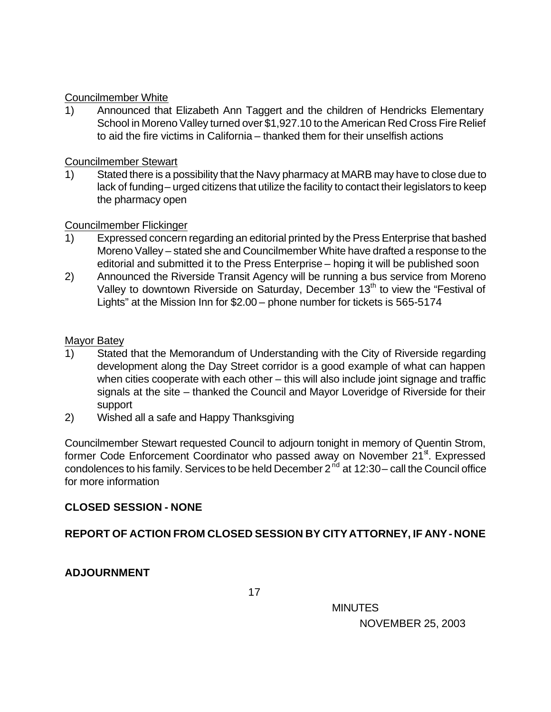### Councilmember White

1) Announced that Elizabeth Ann Taggert and the children of Hendricks Elementary School in Moreno Valley turned over \$1,927.10 to the American Red Cross Fire Relief to aid the fire victims in California – thanked them for their unselfish actions

### Councilmember Stewart

1) Stated there is a possibility that the Navy pharmacy at MARB may have to close due to lack of funding – urged citizens that utilize the facility to contact their legislators to keep the pharmacy open

# Councilmember Flickinger

- 1) Expressed concern regarding an editorial printed by the Press Enterprise that bashed Moreno Valley – stated she and Councilmember White have drafted a response to the editorial and submitted it to the Press Enterprise – hoping it will be published soon
- 2) Announced the Riverside Transit Agency will be running a bus service from Moreno Valley to downtown Riverside on Saturday, December 13<sup>th</sup> to view the "Festival of Lights" at the Mission Inn for \$2.00 – phone number for tickets is 565-5174

### Mayor Batey

- 1) Stated that the Memorandum of Understanding with the City of Riverside regarding development along the Day Street corridor is a good example of what can happen when cities cooperate with each other – this will also include joint signage and traffic signals at the site – thanked the Council and Mayor Loveridge of Riverside for their support
- 2) Wished all a safe and Happy Thanksgiving

Councilmember Stewart requested Council to adjourn tonight in memory of Quentin Strom, former Code Enforcement Coordinator who passed away on November 21<sup>st</sup>. Expressed condolences to his family. Services to be held December  $2^{nd}$  at 12:30 – call the Council office for more information

# **CLOSED SESSION - NONE**

# **REPORT OF ACTION FROM CLOSED SESSION BY CITY ATTORNEY, IF ANY - NONE**

# **ADJOURNMENT**